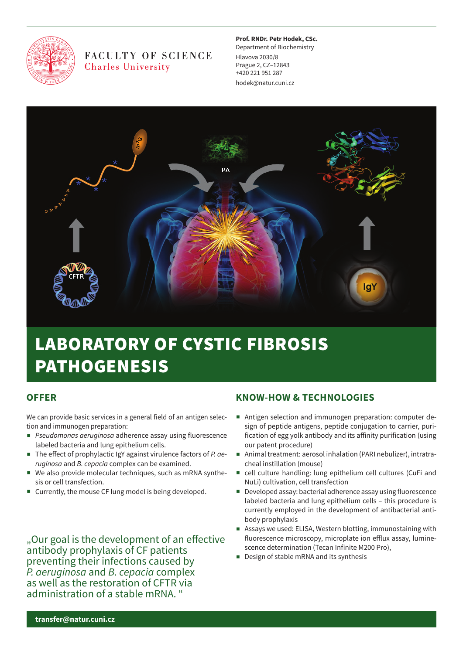

# FACULTY OF SCIENCE **Charles University**

#### **Prof. Rndr. Petr hodek, Csc.**

Department of Biochemistry Hlavova 2030/8 Prague 2, CZ–12843 +420 221 951 287 hodek@natur.cuni.cz



# LABORATORY OF CYSTIC FIBROSIS PATHOGENESIS

# **offeR**

We can provide basic services in a general field of an antigen selection and immunogen preparation:

- *Pseudomonas aeruginosa* adherence assay using fluorescence labeled bacteria and lung epithelium cells.
- The effect of prophylactic IgY against virulence factors of *P. aeruginosa* and *B. cepacia* complex can be examined.
- We also provide molecular techniques, such as mRNA synthesis or cell transfection.
- Currently, the mouse CF lung model is being developed.

". Our goal is the development of an effective antibody prophylaxis of CF patients preventing their infections caused by *P. aeruginosa* and *B. cepacia* complex as well as the restoration of CFTR via administration of a stable mRNA. "

# **KnoW-hoW & teChnoLoGIes**

- Antigen selection and immunogen preparation: computer design of peptide antigens, peptide conjugation to carrier, purification of egg yolk antibody and its affinity purification (using our patent procedure)
- Animal treatment: aerosol inhalation (PARI nebulizer), intratracheal instillation (mouse)
- cell culture handling: lung epithelium cell cultures (CuFi and NuLi) cultivation, cell transfection
- Developed assay: bacterial adherence assay using fluorescence labeled bacteria and lung epithelium cells – this procedure is currently employed in the development of antibacterial antibody prophylaxis
- Assays we used: ELISA, Western blotting, immunostaining with fluorescence microscopy, microplate ion efflux assay, luminescence determination (Tecan Infinite M200 Pro),
- Design of stable mRNA and its synthesis